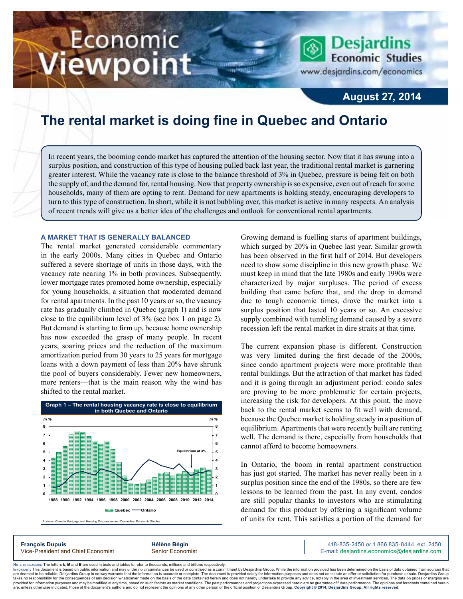# Economic ewpoint

**Desjardins Economic Studies** 

www.desjardins.com/economics

### **August 27, 2014**

### **The rental market is doing fine in Quebec and Ontario**

In recent years, the booming condo market has captured the attention of the housing sector. Now that it has swung into a surplus position, and construction of this type of housing pulled back last year, the traditional rental market is garnering greater interest. While the vacancy rate is close to the balance threshold of 3% in Quebec, pressure is being felt on both the supply of, and the demand for, rental housing. Now that property ownership is so expensive, even out of reach for some households, many of them are opting to rent. Demand for new apartments is holding steady, encouraging developers to turn to this type of construction. In short, while it is not bubbling over, this market is active in many respects. An analysis of recent trends will give us a better idea of the challenges and outlook for conventional rental apartments.

#### **A market that is generally balanced**

The rental market generated considerable commentary in the early 2000s. Many cities in Quebec and Ontario suffered a severe shortage of units in those days, with the vacancy rate nearing 1% in both provinces. Subsequently, lower mortgage rates promoted home ownership, especially for young households, a situation that moderated demand for rental apartments. In the past 10 years or so, the vacancy rate has gradually climbed in Quebec (graph 1) and is now close to the equilibrium level of 3% (see box 1 on page 2). But demand is starting to firm up, because home ownership has now exceeded the grasp of many people. In recent years, soaring prices and the reduction of the maximum amortization period from 30 years to 25 years for mortgage loans with a down payment of less than 20% have shrunk the pool of buyers considerably. Fewer new homeowners, more renters—that is the main reason why the wind has shifted to the rental market.



Sources: Canada Mortgage and Housing Corporation and Desjardins, Economic S

Growing demand is fuelling starts of apartment buildings, which surged by 20% in Quebec last year. Similar growth has been observed in the first half of 2014. But developers need to show some discipline in this new growth phase. We must keep in mind that the late 1980s and early 1990s were characterized by major surpluses. The period of excess building that came before that, and the drop in demand due to tough economic times, drove the market into a surplus position that lasted 10 years or so. An excessive supply combined with tumbling demand caused by a severe recession left the rental market in dire straits at that time.

The current expansion phase is different. Construction was very limited during the first decade of the 2000s, since condo apartment projects were more profitable than rental buildings. But the attraction of that market has faded and it is going through an adjustment period: condo sales are proving to be more problematic for certain projects, increasing the risk for developers. At this point, the move back to the rental market seems to fit well with demand, because the Quebec market is holding steady in a position of equilibrium. Apartments that were recently built are renting well. The demand is there, especially from households that cannot afford to become homeowners.

In Ontario, the boom in rental apartment construction has just got started. The market has never really been in a surplus position since the end of the 1980s, so there are few lessons to be learned from the past. In any event, condos are still popular thanks to investors who are stimulating demand for this product by offering a significant volume of units for rent. This satisfies a portion of the demand for

**François Dupuis Hélène Bégin** 418-835-2450 *or* 1 866 835-8444, ext. 2450 Vice-President and Chief Economist Senior Economist Senior Economist E-mail: desjardins.economics@desjardins.com

Noте то келоекs: The letters **k, M** and **B** are used in texts and tables to refer to thousands, millions and billions respectively.<br>Імроктлит: This document is based on public information and may under no circumstances be are deemed to be reliable. Desiardins Group in no way warrants that the information is accurate or complete. The document is provided solely for information purposes and does not constitute an offer or solicitation for pur takes no responsibility for the consequences of any decision whatsoever made on the basis of the data contained herein and does not hereby undertake to provide any advice, notably in the area of investment services. The da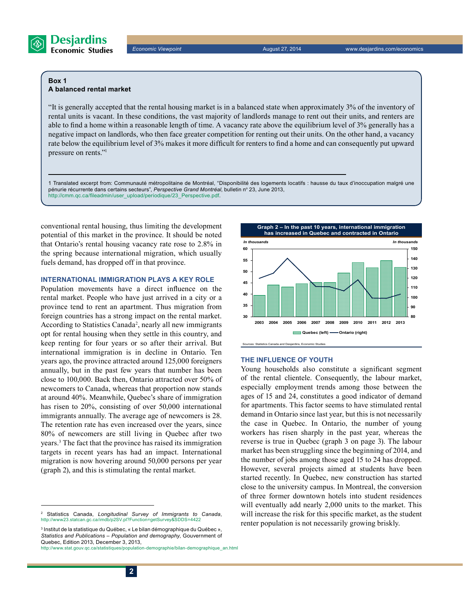

#### **Box 1 A balanced rental market**

"It is generally accepted that the rental housing market is in a balanced state when approximately 3% of the inventory of rental units is vacant. In these conditions, the vast majority of landlords manage to rent out their units, and renters are able to find a home within a reasonable length of time. A vacancy rate above the equilibrium level of 3% generally has a negative impact on landlords, who then face greater competition for renting out their units. On the other hand, a vacancy rate below the equilibrium level of 3% makes it more difficult for renters to find a home and can consequently put upward pressure on rents."1

1 Translated excerpt from: Communauté métropolitaine de Montréal, "Disponibilité des logements locatifs : hausse du taux d'inoccupation malgré une pénurie récurrente dans certains secteurs", Perspective Grand Montréal, bulletin nº 23, June 2013, http://cmm.qc.ca/fileadmin/user\_upload/periodique/23\_Perspective.pdf.

conventional rental housing, thus limiting the development potential of this market in the province. It should be noted that Ontario's rental housing vacancy rate rose to 2.8% in the spring because international migration, which usually fuels demand, has dropped off in that province.

#### **International immigration plays a key role**

Population movements have a direct influence on the rental market. People who have just arrived in a city or a province tend to rent an apartment. Thus migration from foreign countries has a strong impact on the rental market. According to Statistics Canada<sup>2</sup>, nearly all new immigrants opt for rental housing when they settle in this country, and keep renting for four years or so after their arrival. But international immigration is in decline in Ontario. Ten years ago, the province attracted around 125,000 foreigners annually, but in the past few years that number has been close to 100,000. Back then, Ontario attracted over 50% of newcomers to Canada, whereas that proportion now stands at around 40%. Meanwhile, Quebec's share of immigration has risen to 20%, consisting of over 50,000 international immigrants annually. The average age of newcomers is 28. The retention rate has even increased over the years, since 80% of newcomers are still living in Quebec after two years.3 The fact that the province has raised its immigration targets in recent years has had an impact. International migration is now hovering around 50,000 persons per year (graph 2), and this is stimulating the rental market.



#### **The influence of youth**

Young households also constitute a significant segment of the rental clientele. Consequently, the labour market, especially employment trends among those between the ages of 15 and 24, constitutes a good indicator of demand for apartments. This factor seems to have stimulated rental demand in Ontario since last year, but this is not necessarily the case in Quebec. In Ontario, the number of young workers has risen sharply in the past year, whereas the reverse is true in Quebec (graph 3 on page 3). The labour market has been struggling since the beginning of 2014, and the number of jobs among those aged 15 to 24 has dropped. However, several projects aimed at students have been started recently. In Quebec, new construction has started close to the university campus. In Montreal, the conversion of three former downtown hotels into student residences will eventually add nearly 2,000 units to the market. This will increase the risk for this specific market, as the student renter population is not necessarily growing briskly.

<sup>2</sup> Statistics Canada, *Longitudinal Survey of Immigrants to Canada*, http://www23.statcan.gc.ca/imdb/p2SV.pl?Function=getSurvey&SDDS=4422

<sup>3</sup> Institut de la statistique du Québec, « Le bilan démographique du Québec », *Statistics and Publications – Population and demography*, Gouvernment of Quebec, Edition 2013, December 3, 2013,

http://www.stat.gouv.qc.ca/statistiques/population-demographie/bilan-demographique\_an.html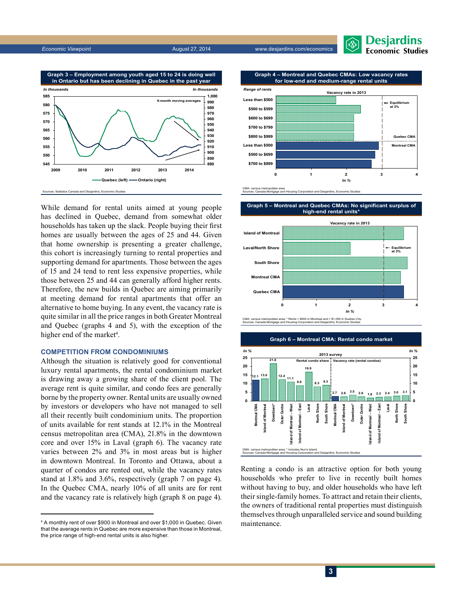*Economic Viewpoint* August 27, 2014 www.desjardins.com/economics



**Graph 4 – Montreal and Quebec CMAs: Low vacancy rates**



While demand for rental units aimed at young people has declined in Quebec, demand from somewhat older households has taken up the slack. People buying their first homes are usually between the ages of 25 and 44. Given that home ownership is presenting a greater challenge, this cohort is increasingly turning to rental properties and supporting demand for apartments. Those between the ages of 15 and 24 tend to rent less expensive properties, while those between 25 and 44 can generally afford higher rents. Therefore, the new builds in Quebec are aiming primarily at meeting demand for rental apartments that offer an alternative to home buying. In any event, the vacancy rate is quite similar in all the price ranges in both Greater Montreal and Quebec (graphs 4 and 5), with the exception of the higher end of the market<sup>4</sup>.

#### **Competition from condominiums**

Although the situation is relatively good for conventional luxury rental apartments, the rental condominium market is drawing away a growing share of the client pool. The average rent is quite similar, and condo fees are generally borne by the property owner. Rental units are usually owned by investors or developers who have not managed to sell all their recently built condominium units. The proportion of units available for rent stands at 12.1% in the Montreal census metropolitan area (CMA), 21.8% in the downtown core and over 15% in Laval (graph 6). The vacancy rate varies between 2% and 3% in most areas but is higher in downtown Montreal. In Toronto and Ottawa, about a quarter of condos are rented out, while the vacancy rates stand at 1.8% and 3.6%, respectively (graph 7 on page 4). In the Quebec CMA, nearly 10% of all units are for rent and the vacancy rate is relatively high (graph 8 on page 4).



**Graph 5 – Montreal and Quebec CMAs: No significant surplus of** 





CMA: census metropolitan area; \* Rents > \$900 in Montreal and > \$1,000 in Quebec City. Sources: Canada Mortgage and Housing Corporation and Desjardins, Economic Studies



Renting a condo is an attractive option for both young households who prefer to live in recently built homes without having to buy, and older households who have left their single-family homes. To attract and retain their clients, the owners of traditional rental properties must distinguish themselves through unparalleled service and sound building maintenance.

<sup>4</sup> A monthly rent of over \$900 in Montreal and over \$1,000 in Quebec. Given that the average rents in Quebec are more expensive than those in Montreal, the price range of high-end rental units is also higher.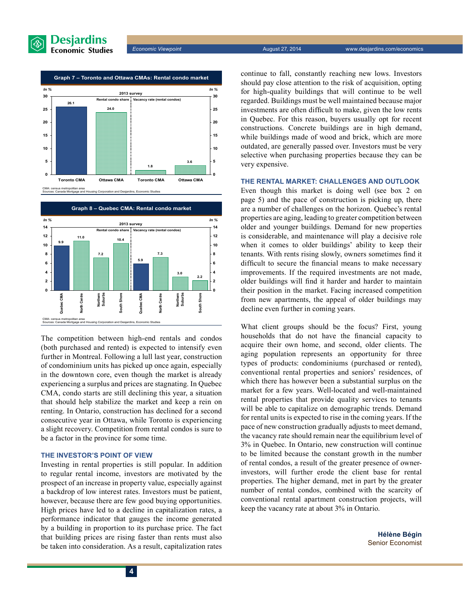





The competition between high-end rentals and condos (both purchased and rented) is expected to intensify even further in Montreal. Following a lull last year, construction of condominium units has picked up once again, especially in the downtown core, even though the market is already experiencing a surplus and prices are stagnating. In Quebec CMA, condo starts are still declining this year, a situation that should help stabilize the market and keep a rein on renting. In Ontario, construction has declined for a second consecutive year in Ottawa, while Toronto is experiencing a slight recovery. Competition from rental condos is sure to be a factor in the province for some time.

#### **The investor's point of view**

Investing in rental properties is still popular. In addition to regular rental income, investors are motivated by the prospect of an increase in property value, especially against a backdrop of low interest rates. Investors must be patient, however, because there are few good buying opportunities. High prices have led to a decline in capitalization rates, a performance indicator that gauges the income generated by a building in proportion to its purchase price. The fact that building prices are rising faster than rents must also be taken into consideration. As a result, capitalization rates continue to fall, constantly reaching new lows. Investors should pay close attention to the risk of acquisition, opting for high-quality buildings that will continue to be well regarded. Buildings must be well maintained because major investments are often difficult to make, given the low rents in Quebec. For this reason, buyers usually opt for recent constructions. Concrete buildings are in high demand, while buildings made of wood and brick, which are more outdated, are generally passed over. Investors must be very selective when purchasing properties because they can be very expensive.

#### **The rental market: challenges and outlook**

Even though this market is doing well (see box 2 on page 5) and the pace of construction is picking up, there are a number of challenges on the horizon. Quebec's rental properties are aging, leading to greater competition between older and younger buildings. Demand for new properties is considerable, and maintenance will play a decisive role when it comes to older buildings' ability to keep their tenants. With rents rising slowly, owners sometimes find it difficult to secure the financial means to make necessary improvements. If the required investments are not made, older buildings will find it harder and harder to maintain their position in the market. Facing increased competition from new apartments, the appeal of older buildings may decline even further in coming years.

What client groups should be the focus? First, young households that do not have the financial capacity to acquire their own home, and second, older clients. The aging population represents an opportunity for three types of products: condominiums (purchased or rented), conventional rental properties and seniors' residences, of which there has however been a substantial surplus on the market for a few years. Well-located and well-maintained rental properties that provide quality services to tenants will be able to capitalize on demographic trends. Demand for rental units is expected to rise in the coming years. If the pace of new construction gradually adjusts to meet demand, the vacancy rate should remain near the equilibrium level of 3% in Quebec. In Ontario, new construction will continue to be limited because the constant growth in the number of rental condos, a result of the greater presence of ownerinvestors, will further erode the client base for rental properties. The higher demand, met in part by the greater number of rental condos, combined with the scarcity of conventional rental apartment construction projects, will keep the vacancy rate at about 3% in Ontario.

> **Hélène Bégin** Senior Economist